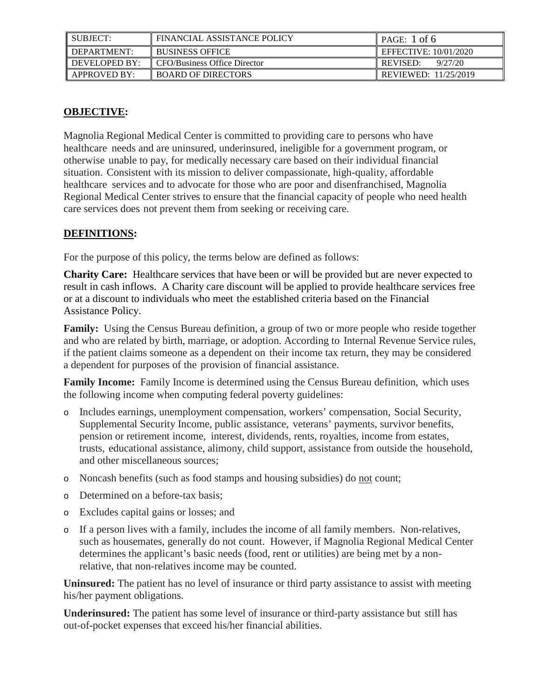| SUBJECT:            | FINANCIAL ASSISTANCE POLICY  | $\parallel$ PAGE: 1 of 6 |
|---------------------|------------------------------|--------------------------|
| DEPARTMENT:         | <b>BUSINESS OFFICE</b>       | EFFECTIVE: 10/01/2020    |
| DEVELOPED BY:       | CFO/Business Office Director | 9/27/20<br>REVISED:      |
| <b>APPROVED BY:</b> | <b>BOARD OF DIRECTORS</b>    | REVIEWED: 11/25/2019     |

### **OBJECTIVE:**

Magnolia Regional Medical Center is committed to providing care to persons who have healthcare needs and are uninsured, underinsured, ineligible for a government program, or otherwise unable to pay, for medically necessary care based on their individual financial situation. Consistent with its mission to deliver compassionate, high-quality, affordable healthcare services and to advocate for those who are poor and disenfranchised, Magnolia Regional Medical Center strives to ensure that the financial capacity of people who need health care services does not prevent them from seeking or receiving care.

### **DEFINITIONS:**

For the purpose of this policy, the terms below are defined as follows:

**Charity Care:** Healthcare services that have been or will be provided but are never expected to result in cash inflows. A Charity care discount will be applied to provide healthcare services free or at a discount to individuals who meet the established criteria based on the Financial Assistance Policy.

**Family:** Using the Census Bureau definition, a group of two or more people who reside together and who are related by birth, marriage, or adoption. According to Internal Revenue Service rules, if the patient claims someone as a dependent on their income tax return, they may be considered a dependent for purposes of the provision of financial assistance.

**Family Income:** Family Income is determined using the Census Bureau definition, which uses the following income when computing federal poverty guidelines:

- o Includes earnings, unemployment compensation, workers' compensation, Social Security, Supplemental Security Income, public assistance, veterans' payments, survivor benefits, pension or retirement income, interest, dividends, rents, royalties, income from estates, trusts, educational assistance, alimony, child support, assistance from outside the household, and other miscellaneous sources;
- o Noncash benefits (such as food stamps and housing subsidies) do not count;
- o Determined on a before-tax basis;
- o Excludes capital gains or losses; and
- o If a person lives with a family, includes the income of all family members. Non-relatives, such as housemates, generally do not count. However, if Magnolia Regional Medical Center determines the applicant's basic needs (food, rent or utilities) are being met by a nonrelative, that non-relatives income may be counted.

**Uninsured:** The patient has no level of insurance or third party assistance to assist with meeting his/her payment obligations.

**Underinsured:** The patient has some level of insurance or third-party assistance but still has out-of-pocket expenses that exceed his/her financial abilities.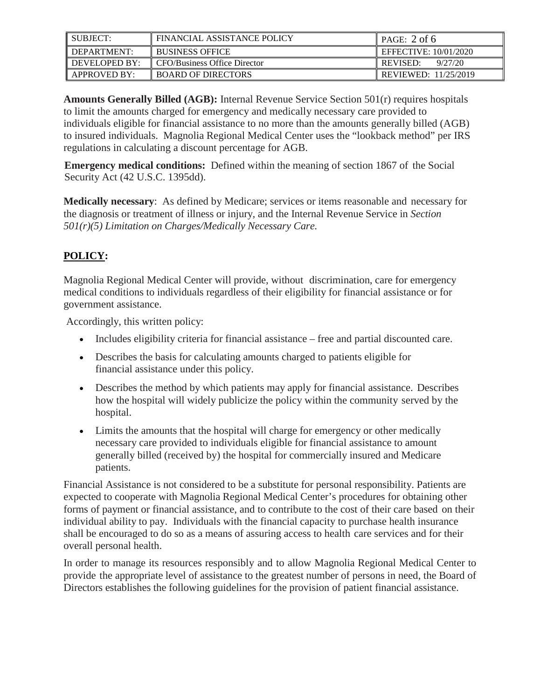| SUBJECT:                   | FINANCIAL ASSISTANCE POLICY  | PAGE: 2 of 6               |
|----------------------------|------------------------------|----------------------------|
| $\blacksquare$ DEPARTMENT: | <b>BUSINESS OFFICE</b>       | EFFECTIVE: $10/01/2020$    |
| DEVELOPED BY:              | CFO/Business Office Director | <b>REVISED:</b><br>9/27/20 |
| APPROVED BY:               | <b>BOARD OF DIRECTORS</b>    | REVIEWED: $11/25/2019$     |

**Amounts Generally Billed (AGB):** Internal Revenue Service Section 501(r) requires hospitals to limit the amounts charged for emergency and medically necessary care provided to individuals eligible for financial assistance to no more than the amounts generally billed (AGB) to insured individuals. Magnolia Regional Medical Center uses the "lookback method" per IRS regulations in calculating a discount percentage for AGB.

**Emergency medical conditions:** Defined within the meaning of section 1867 of the Social Security Act (42 U.S.C. 1395dd).

**Medically necessary**: As defined by Medicare; services or items reasonable and necessary for the diagnosis or treatment of illness or injury, and the Internal Revenue Service in *Section 501(r)(5) Limitation on Charges/Medically Necessary Care.*

## **POLICY:**

Magnolia Regional Medical Center will provide, without discrimination, care for emergency medical conditions to individuals regardless of their eligibility for financial assistance or for government assistance.

Accordingly, this written policy:

- Includes eligibility criteria for financial assistance free and partial discounted care.
- Describes the basis for calculating amounts charged to patients eligible for financial assistance under this policy.
- Describes the method by which patients may apply for financial assistance. Describes how the hospital will widely publicize the policy within the community served by the hospital.
- Limits the amounts that the hospital will charge for emergency or other medically necessary care provided to individuals eligible for financial assistance to amount generally billed (received by) the hospital for commercially insured and Medicare patients.

Financial Assistance is not considered to be a substitute for personal responsibility. Patients are expected to cooperate with Magnolia Regional Medical Center's procedures for obtaining other forms of payment or financial assistance, and to contribute to the cost of their care based on their individual ability to pay. Individuals with the financial capacity to purchase health insurance shall be encouraged to do so as a means of assuring access to health care services and for their overall personal health.

In order to manage its resources responsibly and to allow Magnolia Regional Medical Center to provide the appropriate level of assistance to the greatest number of persons in need, the Board of Directors establishes the following guidelines for the provision of patient financial assistance.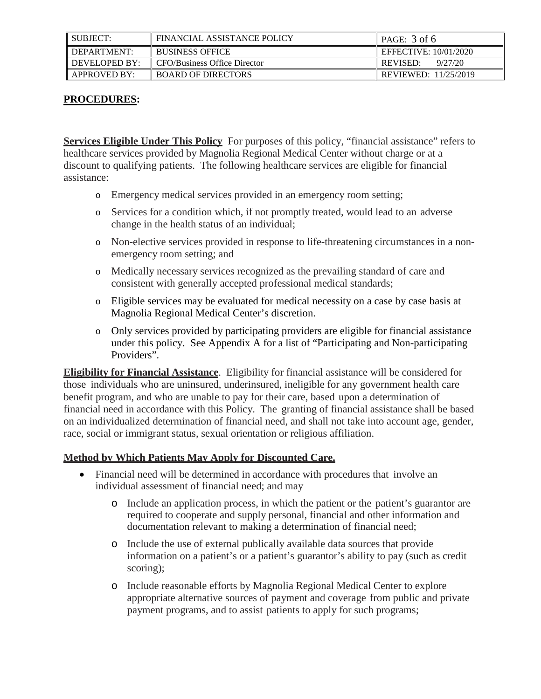| SUBJECT:      | FINANCIAL ASSISTANCE POLICY  | PAGE: 3 of 6          |
|---------------|------------------------------|-----------------------|
| DEPARTMENT:   | <b>BUSINESS OFFICE</b>       | EFFECTIVE: 10/01/2020 |
| DEVELOPED BY: | CFO/Business Office Director | 9/27/20<br>REVISED:   |
| APPROVED BY:  | <b>BOARD OF DIRECTORS</b>    | REVIEWED: 11/25/2019  |

#### **PROCEDURES:**

**Services Eligible Under This Policy** For purposes of this policy, "financial assistance" refers to healthcare services provided by Magnolia Regional Medical Center without charge or at a discount to qualifying patients. The following healthcare services are eligible for financial assistance:

- o Emergency medical services provided in an emergency room setting;
- o Services for a condition which, if not promptly treated, would lead to an adverse change in the health status of an individual;
- o Non-elective services provided in response to life-threatening circumstances in a nonemergency room setting; and
- o Medically necessary services recognized as the prevailing standard of care and consistent with generally accepted professional medical standards;
- o Eligible services may be evaluated for medical necessity on a case by case basis at Magnolia Regional Medical Center's discretion.
- o Only services provided by participating providers are eligible for financial assistance under this policy. See Appendix A for a list of "Participating and Non-participating Providers".

**Eligibility for Financial Assistance**. Eligibility for financial assistance will be considered for those individuals who are uninsured, underinsured, ineligible for any government health care benefit program, and who are unable to pay for their care, based upon a determination of financial need in accordance with this Policy. The granting of financial assistance shall be based on an individualized determination of financial need, and shall not take into account age, gender, race, social or immigrant status, sexual orientation or religious affiliation.

#### **Method by Which Patients May Apply for Discounted Care.**

- Financial need will be determined in accordance with procedures that involve an individual assessment of financial need; and may
	- o Include an application process, in which the patient or the patient's guarantor are required to cooperate and supply personal, financial and other information and documentation relevant to making a determination of financial need;
	- o Include the use of external publically available data sources that provide information on a patient's or a patient's guarantor's ability to pay (such as credit scoring);
	- o Include reasonable efforts by Magnolia Regional Medical Center to explore appropriate alternative sources of payment and coverage from public and private payment programs, and to assist patients to apply for such programs;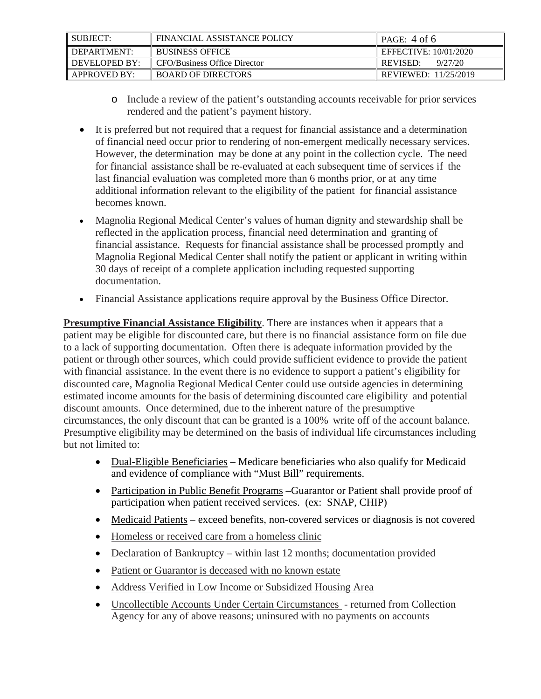| SUBJECT:                   | FINANCIAL ASSISTANCE POLICY  | $\parallel$ PAGE: 4 of 6 |
|----------------------------|------------------------------|--------------------------|
| $\blacksquare$ DEPARTMENT: | <b>BUSINESS OFFICE</b>       | EFFECTIVE: $10/01/2020$  |
| DEVELOPED BY:              | CFO/Business Office Director | REVISED:<br>9/27/20      |
| APPROVED BY:               | <b>BOARD OF DIRECTORS</b>    | REVIEWED: $11/25/2019$   |

- o Include a review of the patient's outstanding accounts receivable for prior services rendered and the patient's payment history.
- It is preferred but not required that a request for financial assistance and a determination of financial need occur prior to rendering of non-emergent medically necessary services. However, the determination may be done at any point in the collection cycle. The need for financial assistance shall be re-evaluated at each subsequent time of services if the last financial evaluation was completed more than 6 months prior, or at any time additional information relevant to the eligibility of the patient for financial assistance becomes known.
- Magnolia Regional Medical Center's values of human dignity and stewardship shall be reflected in the application process, financial need determination and granting of financial assistance. Requests for financial assistance shall be processed promptly and Magnolia Regional Medical Center shall notify the patient or applicant in writing within 30 days of receipt of a complete application including requested supporting documentation.
- Financial Assistance applications require approval by the Business Office Director.

**Presumptive Financial Assistance Eligibility**. There are instances when it appears that a patient may be eligible for discounted care, but there is no financial assistance form on file due to a lack of supporting documentation. Often there is adequate information provided by the patient or through other sources, which could provide sufficient evidence to provide the patient with financial assistance. In the event there is no evidence to support a patient's eligibility for discounted care, Magnolia Regional Medical Center could use outside agencies in determining estimated income amounts for the basis of determining discounted care eligibility and potential discount amounts. Once determined, due to the inherent nature of the presumptive circumstances, the only discount that can be granted is a 100% write off of the account balance. Presumptive eligibility may be determined on the basis of individual life circumstances including but not limited to:

- Dual-Eligible Beneficiaries Medicare beneficiaries who also qualify for Medicaid and evidence of compliance with "Must Bill" requirements.
- Participation in Public Benefit Programs –Guarantor or Patient shall provide proof of participation when patient received services. (ex: SNAP, CHIP)
- Medicaid Patients exceed benefits, non-covered services or diagnosis is not covered
- Homeless or received care from a homeless clinic
- Declaration of Bankruptcy within last 12 months; documentation provided
- Patient or Guarantor is deceased with no known estate
- Address Verified in Low Income or Subsidized Housing Area
- Uncollectible Accounts Under Certain Circumstances returned from Collection Agency for any of above reasons; uninsured with no payments on accounts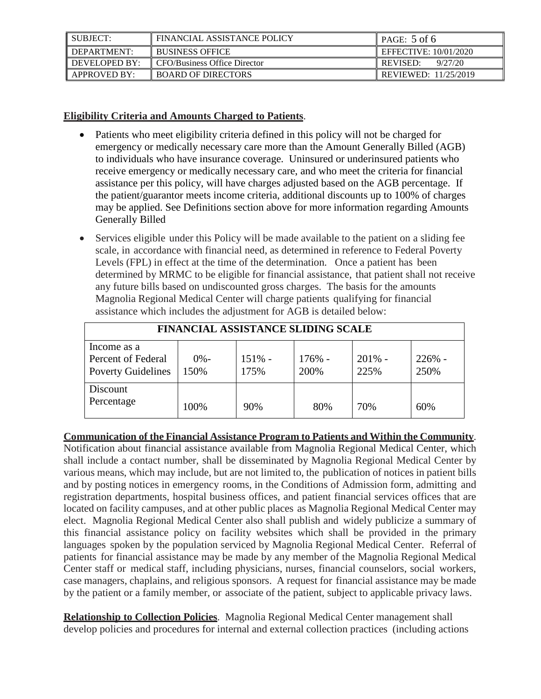| II SUBJECT:   | FINANCIAL ASSISTANCE POLICY         | PAGE: $5$ of 6              |
|---------------|-------------------------------------|-----------------------------|
| DEPARTMENT:   | <b>BUSINESS OFFICE</b>              | EFFECTIVE: 10/01/2020       |
| DEVELOPED BY: | <b>CFO/Business Office Director</b> | 9/27/20<br>REVISED:         |
| APPROVED BY:  | <b>BOARD OF DIRECTORS</b>           | <b>REVIEWED: 11/25/2019</b> |

#### **Eligibility Criteria and Amounts Charged to Patients**.

- Patients who meet eligibility criteria defined in this policy will not be charged for emergency or medically necessary care more than the Amount Generally Billed (AGB) to individuals who have insurance coverage. Uninsured or underinsured patients who receive emergency or medically necessary care, and who meet the criteria for financial assistance per this policy, will have charges adjusted based on the AGB percentage. If the patient/guarantor meets income criteria, additional discounts up to 100% of charges may be applied. See Definitions section above for more information regarding Amounts Generally Billed
- Services eligible under this Policy will be made available to the patient on a sliding fee scale, in accordance with financial need, as determined in reference to Federal Poverty Levels (FPL) in effect at the time of the determination. Once a patient has been determined by MRMC to be eligible for financial assistance, that patient shall not receive any future bills based on undiscounted gross charges. The basis for the amounts Magnolia Regional Medical Center will charge patients qualifying for financial assistance which includes the adjustment for AGB is detailed below:

| <b>FINANCIAL ASSISTANCE SLIDING SCALE</b>                      |                |                  |                |                   |                  |
|----------------------------------------------------------------|----------------|------------------|----------------|-------------------|------------------|
| Income as a<br>Percent of Federal<br><b>Poverty Guidelines</b> | $0% -$<br>150% | $151% -$<br>175% | 176% -<br>200% | $201\%$ -<br>225% | $226%$ -<br>250% |
| Discount<br>Percentage                                         | 100%           | 90%              | 80%            | 70%               | 60%              |

**Communication of the Financial Assistance Program to Patients and Within the Community**. Notification about financial assistance available from Magnolia Regional Medical Center, which shall include a contact number, shall be disseminated by Magnolia Regional Medical Center by various means, which may include, but are not limited to, the publication of notices in patient bills and by posting notices in emergency rooms, in the Conditions of Admission form, admitting and registration departments, hospital business offices, and patient financial services offices that are located on facility campuses, and at other public places as Magnolia Regional Medical Center may elect. Magnolia Regional Medical Center also shall publish and widely publicize a summary of this financial assistance policy on facility websites which shall be provided in the primary languages spoken by the population serviced by Magnolia Regional Medical Center. Referral of patients for financial assistance may be made by any member of the Magnolia Regional Medical Center staff or medical staff, including physicians, nurses, financial counselors, social workers, case managers, chaplains, and religious sponsors. A request for financial assistance may be made by the patient or a family member, or associate of the patient, subject to applicable privacy laws.

**Relationship to Collection Policies**. Magnolia Regional Medical Center management shall develop policies and procedures for internal and external collection practices (including actions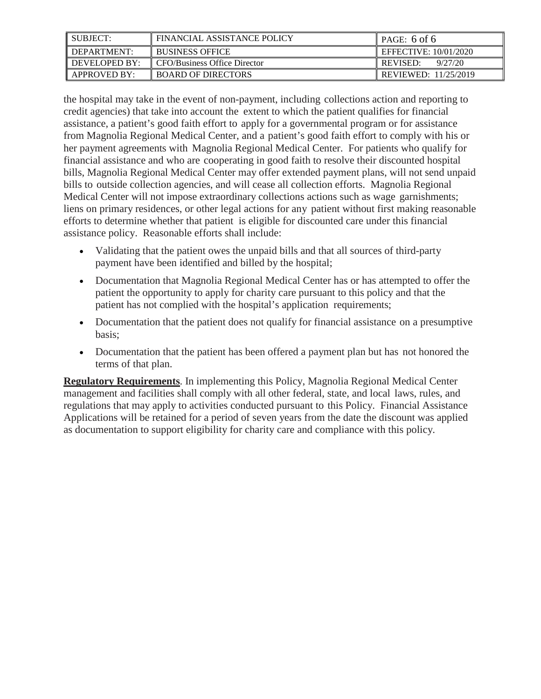| <b>SUBJECT:</b> | FINANCIAL ASSISTANCE POLICY  | PAGE: 6 of 6               |
|-----------------|------------------------------|----------------------------|
| I DEPARTMENT:   | <b>I BUSINESS OFFICE</b>     | EFFECTIVE: 10/01/2020      |
| I DEVELOPED BY: | CFO/Business Office Director | 9/27/20<br><b>REVISED:</b> |
| APPROVED BY:    | <b>BOARD OF DIRECTORS</b>    | REVIEWED: 11/25/2019       |

the hospital may take in the event of non-payment, including collections action and reporting to credit agencies) that take into account the extent to which the patient qualifies for financial assistance, a patient's good faith effort to apply for a governmental program or for assistance from Magnolia Regional Medical Center, and a patient's good faith effort to comply with his or her payment agreements with Magnolia Regional Medical Center. For patients who qualify for financial assistance and who are cooperating in good faith to resolve their discounted hospital bills, Magnolia Regional Medical Center may offer extended payment plans, will not send unpaid bills to outside collection agencies, and will cease all collection efforts. Magnolia Regional Medical Center will not impose extraordinary collections actions such as wage garnishments; liens on primary residences, or other legal actions for any patient without first making reasonable efforts to determine whether that patient is eligible for discounted care under this financial assistance policy. Reasonable efforts shall include:

- Validating that the patient owes the unpaid bills and that all sources of third-party payment have been identified and billed by the hospital;
- Documentation that Magnolia Regional Medical Center has or has attempted to offer the patient the opportunity to apply for charity care pursuant to this policy and that the patient has not complied with the hospital's application requirements;
- Documentation that the patient does not qualify for financial assistance on a presumptive basis;
- Documentation that the patient has been offered a payment plan but has not honored the terms of that plan.

**Regulatory Requirements**. In implementing this Policy, Magnolia Regional Medical Center management and facilities shall comply with all other federal, state, and local laws, rules, and regulations that may apply to activities conducted pursuant to this Policy. Financial Assistance Applications will be retained for a period of seven years from the date the discount was applied as documentation to support eligibility for charity care and compliance with this policy.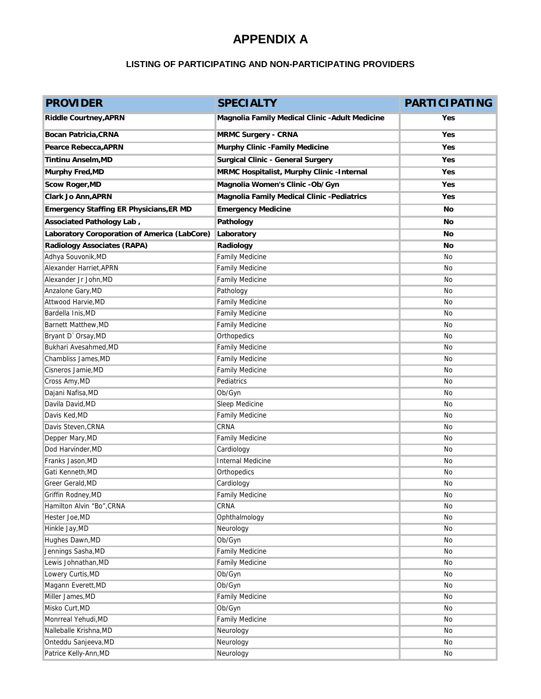# **APPENDIX A**

#### **LISTING OF PARTICIPATING AND NON-PARTICIPATING PROVIDERS**

| <b>PROVIDER</b>                                | <b>SPECIALTY</b>                                | <b>PARTICIPATING</b> |
|------------------------------------------------|-------------------------------------------------|----------------------|
| <b>Riddle Courtney, APRN</b>                   | Magnolia Family Medical Clinic - Adult Medicine | Yes                  |
| <b>Bocan Patricia, CRNA</b>                    | <b>MRMC Surgery - CRNA</b>                      | Yes                  |
| Pearce Rebecca, APRN                           | Murphy Clinic -Family Medicine                  | Yes                  |
| <b>Tintinu Anselm, MD</b>                      | <b>Surgical Clinic - General Surgery</b>        | Yes                  |
| <b>Murphy Fred, MD</b>                         | MRMC Hospitalist, Murphy Clinic - Internal      | Yes                  |
| <b>Scow Roger, MD</b>                          | Magnolia Women's Clinic - Ob/Gyn                | Yes                  |
| <b>Clark Jo Ann, APRN</b>                      | Magnolia Family Medical Clinic -Pediatrics      | Yes                  |
| <b>Emergency Staffing ER Physicians, ER MD</b> | <b>Emergency Medicine</b>                       | No                   |
| Associated Pathology Lab,                      | Pathology                                       | No                   |
| Laboratory Coroporation of America (LabCore)   | Laboratory                                      | No                   |
| <b>Radiology Associates (RAPA)</b>             | Radiology                                       | No                   |
| Adhya Souvonik, MD                             | <b>Family Medicine</b>                          | No                   |
| Alexander Harriet, APRN                        | <b>Family Medicine</b>                          | No                   |
| Alexander Jr John, MD                          | <b>Family Medicine</b>                          | No                   |
| Anzalone Gary, MD                              | Pathology                                       | No                   |
| Attwood Harvie, MD                             | <b>Family Medicine</b>                          | No                   |
| Bardella Inis, MD                              | <b>Family Medicine</b>                          | No                   |
| Barnett Matthew, MD                            | <b>Family Medicine</b>                          | No                   |
| Bryant D'Orsay, MD                             | Orthopedics                                     | No                   |
| Bukhari Avesahmed, MD                          | <b>Family Medicine</b>                          | No                   |
| Chambliss James, MD                            | <b>Family Medicine</b>                          | No                   |
| Cisneros Jamie, MD                             | <b>Family Medicine</b>                          | No                   |
| Cross Amy, MD                                  | Pediatrics                                      | No                   |
| Dajani Nafisa, MD                              | Ob/Gyn                                          | No                   |
| Davila David, MD                               | Sleep Medicine                                  | No                   |
| Davis Ked, MD                                  | <b>Family Medicine</b>                          | No                   |
| Davis Steven, CRNA                             | CRNA                                            | No                   |
| Depper Mary, MD                                | <b>Family Medicine</b>                          | No                   |
| Dod Harvinder, MD                              | Cardiology                                      | No                   |
| Franks Jason.MD                                | <b>Internal Medicine</b>                        | No                   |
| Gati Kenneth, MD                               | Orthopedics                                     | No                   |
| Greer Gerald, MD                               | Cardiology                                      | No                   |
| Griffin Rodney, MD                             | <b>Family Medicine</b>                          | No                   |
| Hamilton Alvin "Bo", CRNA                      | CRNA                                            | No                   |
| Hester Joe, MD                                 | Ophthalmology                                   | No                   |
| Hinkle Jay, MD                                 | Neurology                                       | No                   |
| Hughes Dawn, MD                                | Ob/Gyn                                          | No                   |
| Jennings Sasha, MD                             | Family Medicine                                 | No                   |
| Lewis Johnathan, MD<br>Lowery Curtis, MD       | Family Medicine<br>Ob/Gyn                       | No<br>No             |
| Magann Everett, MD                             | Ob/Gyn                                          | No                   |
| Miller James, MD                               | <b>Family Medicine</b>                          | No                   |
| Misko Curt, MD                                 | Ob/Gyn                                          | No                   |
| Monrreal Yehudi, MD                            | Family Medicine                                 | No                   |
| Nalleballe Krishna, MD                         | Neurology                                       | No                   |
| Onteddu Sanjeeva, MD                           | Neurology                                       | No                   |
| Patrice Kelly-Ann, MD                          | Neurology                                       | No                   |